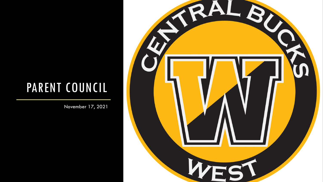### PARENT COUNCIL

November 17, 2021

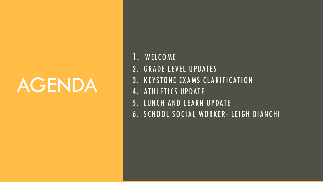# AGENDA

- 1. WELCOME
- 2. GRADE LEVEL UPDATES
- 3. KEYSTONE EXAMS CLARIFICATION
- 4. ATHLETICS UPDATE
- 5. LUNCH AND LEARN UPDATE
- 6. SCHOOL SOCIAL WORKER- LEIGH BIANCHI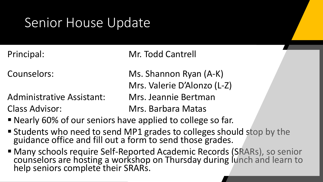## Senior House Update

Principal: Mr. Todd Cantrell

Administrative Assistant: Mrs. Jeannie Bertman Class Advisor: Mrs. Barbara Matas

Counselors: Ms. Shannon Ryan (A-K) Mrs. Valerie D'Alonzo (L-Z)

- Nearly 60% of our seniors have applied to college so far.
- **Example 1 Students who need to send MP1 grades to colleges should stop by the** guidance office and fill out a form to send those grades.
- Many schools require Self-Reported Academic Records (SRARs), so senior counselors are hosting a workshop on Thursday during lunch and learn to help seniors complete their SRARs.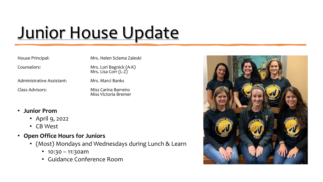# Junior House Update

| House Principal:          | Mrs. Helen Sclama Zaleski                       |
|---------------------------|-------------------------------------------------|
| Counselors:               | Mrs. Lori Bagnick (A-K)<br>Mrs. Lisa Corr (L-Z) |
| Administrative Assistant: | Mrs. Marci Banks                                |
| Class Advisors:           | Miss Carina Barreiro<br>Miss Victoria Bremer    |
|                           |                                                 |

- **Junior Prom**
	- April 9, 2022
	- CB West
- **Open Office Hours for Juniors**
	- (Most) Mondays and Wednesdays during Lunch & Learn
		- $10:30 11:30$ am
		- Guidance Conference Room

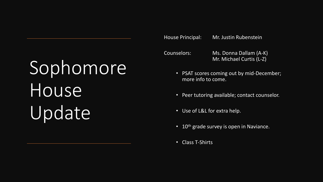# Sophomore House Update

House Principal: Mr. Justin Rubenstein

Counselors: Ms. Donna Dallam (A-K) Mr. Michael Curtis (L-Z)

- PSAT scores coming out by mid-December; more info to come.
- Peer tutoring available; contact counselor.
- Use of L&L for extra help.
- $\cdot$  10<sup>th</sup> grade survey is open in Naviance.
- Class T-Shirts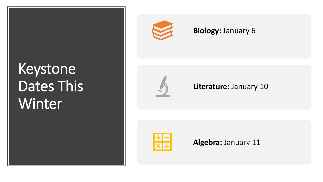## Keystone Dates This Winter



#### **Biology:** January 6



#### **Literature:** January 10



**Algebra:** January 11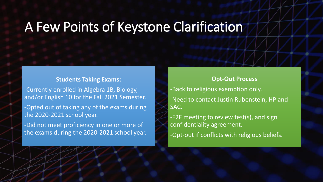#### A Few Points of Keystone Clarification

#### **Students Taking Exams:**

-Currently enrolled in Algebra 1B, Biology, and/or English 10 for the Fall 2021 Semester. -Opted out of taking any of the exams during the 2020-2021 school year. -Did not meet proficiency in one or more of

the exams during the 2020-2021 school year.

**Opt-Out Process** -Back to religious exemption only. -Need to contact Justin Rubenstein, HP and SAC. -F2F meeting to review test(s), and sign confidentiality agreement.

-Opt-out if conflicts with religious beliefs.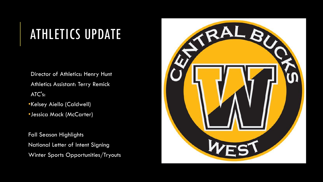## ATHLETICS UPDATE

Director of Athletics: Henry Hunt Athletics Assistant: Terry Remick ATC's:

- •Kelsey Aiello (Caldwell)
- •Jessica Mack (McCarter)

Fall Season Highlights National Letter of Intent Signing Winter Sports Opportunities/Tryouts

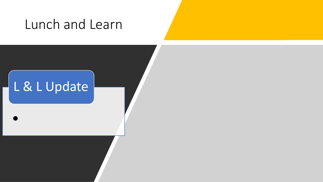#### Lunch and Learn



•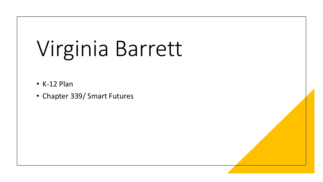# Virginia Barrett

- K-12 Plan
- Chapter 339/ Smart Futures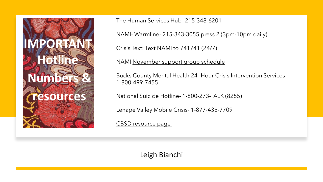

The Human Services Hub- 215-348-6201

NAMI- Warmline- 215-343-3055 press 2 (3pm-10pm daily)

Crisis Text: Text NAMI to 741741 (24/7)

NAMI [November support group schedule](https://2drbqn37bylzjbtx93fd7n7l-wpengine.netdna-ssl.com/wp-content/uploads/sites/17/2021/10/NAMI_Online_Support_Flyer_November_2021.pdf)

Bucks County Mental Health 24- Hour Crisis Intervention Services-1-800-499-7455

National Suicide Hotline- 1-800-273-TALK (8255)

Lenape Valley Mobile Crisis- 1-877-435-7709

[CBSD resource page](https://www.cbsd.org/Page/1014)

Leigh Bianchi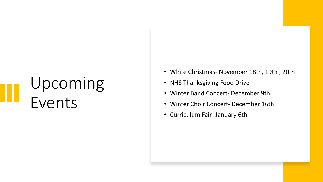## Upcoming Events

- White Christmas November 18th, 19th , 20th
- NHS Thanksgiving Food Drive
- Winter Band Concert- December 9th
- Winter Choir Concert- December 16th
- Curriculum Fair- January 6th